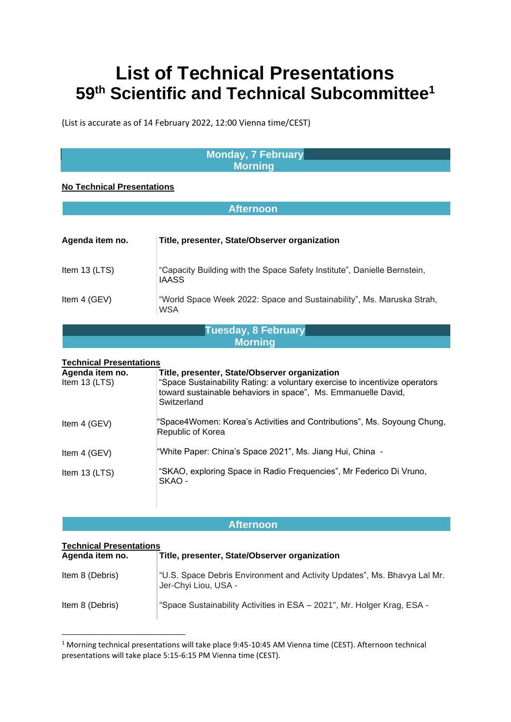# **List of Technical Presentations 59th Scientific and Technical Subcommittee<sup>1</sup>**

(List is accurate as of 14 February 2022, 12:00 Vienna time/CEST)

### **Monday, 7 February Morning**

#### **No Technical Presentations**

| <b>Afternoon</b>                                                   |                                                                                                                                                                                                              |  |
|--------------------------------------------------------------------|--------------------------------------------------------------------------------------------------------------------------------------------------------------------------------------------------------------|--|
|                                                                    |                                                                                                                                                                                                              |  |
| Agenda item no.                                                    | Title, presenter, State/Observer organization                                                                                                                                                                |  |
| Item 13 (LTS)                                                      | "Capacity Building with the Space Safety Institute", Danielle Bernstein,<br>IAASS                                                                                                                            |  |
| Item 4 (GEV)                                                       | "World Space Week 2022: Space and Sustainability", Ms. Maruska Strah,<br><b>WSA</b>                                                                                                                          |  |
| <b>Tuesday, 8 February</b>                                         |                                                                                                                                                                                                              |  |
|                                                                    | <b>Morning</b>                                                                                                                                                                                               |  |
|                                                                    |                                                                                                                                                                                                              |  |
| <b>Technical Presentations</b><br>Agenda item no.<br>Item 13 (LTS) | Title, presenter, State/Observer organization<br>"Space Sustainability Rating: a voluntary exercise to incentivize operators<br>toward sustainable behaviors in space", Ms. Emmanuelle David,<br>Switzerland |  |
| Item 4 (GEV)                                                       | "Space4Women: Korea's Activities and Contributions", Ms. Soyoung Chung,<br>Republic of Korea                                                                                                                 |  |
| Item 4 (GEV)                                                       | "White Paper: China's Space 2021", Ms. Jiang Hui, China -                                                                                                                                                    |  |
| Item 13 (LTS)                                                      | "SKAO, exploring Space in Radio Frequencies", Mr Federico Di Vruno,<br>SKAO -                                                                                                                                |  |

#### **Afternoon**

#### **Technical Presentations**

| Agenda item no. | Title, presenter, State/Observer organization                                                    |
|-----------------|--------------------------------------------------------------------------------------------------|
| Item 8 (Debris) | "U.S. Space Debris Environment and Activity Updates", Ms. Bhavya Lal Mr.<br>Jer-Chyi Liou, USA - |
| Item 8 (Debris) | "Space Sustainability Activities in ESA - 2021", Mr. Holger Krag, ESA -                          |

<sup>1</sup> Morning technical presentations will take place 9:45-10:45 AM Vienna time (CEST). Afternoon technical presentations will take place 5:15-6:15 PM Vienna time (CEST).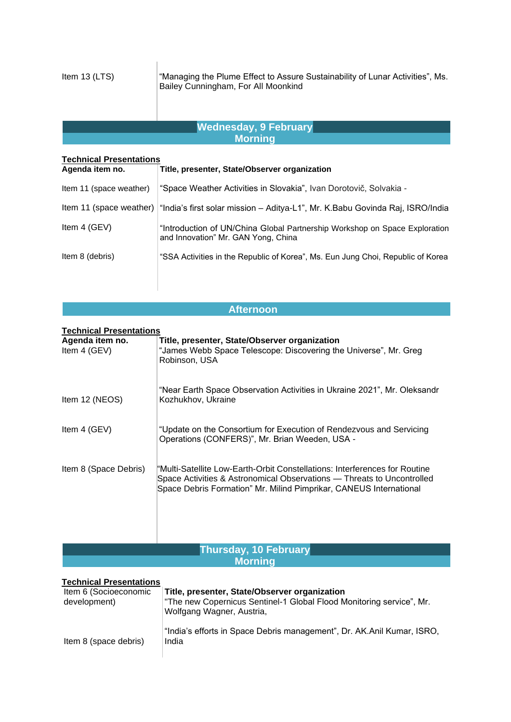Item 13 (LTS) "Managing the Plume Effect to Assure Sustainability of Lunar Activities", Ms. Bailey Cunningham, For All Moonkind

### **Wednesday, 9 February Morning**

| <b>Technical Presentations</b> |                                                                                                                   |
|--------------------------------|-------------------------------------------------------------------------------------------------------------------|
| Agenda item no.                | Title, presenter, State/Observer organization                                                                     |
| Item 11 (space weather)        | "Space Weather Activities in Slovakia", Ivan Dorotovič, Solvakia -                                                |
|                                | Item 11 (space weather)   "India's first solar mission - Aditya-L1", Mr. K.Babu Govinda Raj, ISRO/India           |
| Item 4 (GEV)                   | "Introduction of UN/China Global Partnership Workshop on Space Exploration<br>and Innovation" Mr. GAN Yong, China |
| Item 8 (debris)                | "SSA Activities in the Republic of Korea", Ms. Eun Jung Choi, Republic of Korea                                   |

## **Afternoon**

**Technical Presentations**

| <b>ICOMMUNISM I</b> TUBULICIUS<br>Agenda item no.<br>Item 4 (GEV) | Title, presenter, State/Observer organization<br>"James Webb Space Telescope: Discovering the Universe", Mr. Greg<br>Robinson, USA                                                                                         |
|-------------------------------------------------------------------|----------------------------------------------------------------------------------------------------------------------------------------------------------------------------------------------------------------------------|
| Item 12 (NEOS)                                                    | "Near Earth Space Observation Activities in Ukraine 2021", Mr. Oleksandr<br>Kozhukhov, Ukraine                                                                                                                             |
| Item 4 (GEV)                                                      | "Update on the Consortium for Execution of Rendezvous and Servicing<br>Operations (CONFERS)", Mr. Brian Weeden, USA -                                                                                                      |
| Item 8 (Space Debris)                                             | "Multi-Satellite Low-Earth-Orbit Constellations: Interferences for Routine<br>Space Activities & Astronomical Observations — Threats to Uncontrolled<br>Space Debris Formation" Mr. Milind Pimprikar, CANEUS International |

## **Thursday, 10 February Morning**

#### **Technical Presentations**

| Item 6 (Socioeconomic<br>development) | Title, presenter, State/Observer organization<br>"The new Copernicus Sentinel-1 Global Flood Monitoring service", Mr.<br>Wolfgang Wagner, Austria, |
|---------------------------------------|----------------------------------------------------------------------------------------------------------------------------------------------------|
| Item 8 (space debris)                 | "India's efforts in Space Debris management", Dr. AK.Anil Kumar, ISRO,<br>India                                                                    |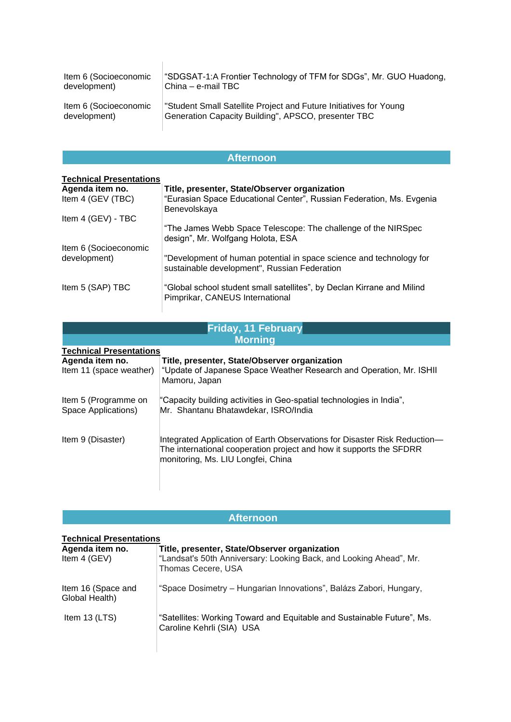| Item 6 (Socioeconomic | "SDGSAT-1:A Frontier Technology of TFM for SDGs", Mr. GUO Huadong, |
|-----------------------|--------------------------------------------------------------------|
| development)          | China - e-mail TBC                                                 |
| Item 6 (Socioeconomic | "Student Small Satellite Project and Future Initiatives for Young  |
| development)          | Generation Capacity Building", APSCO, presenter TBC                |

| <b>Afternoon</b>               |                                                                                                                     |  |  |
|--------------------------------|---------------------------------------------------------------------------------------------------------------------|--|--|
| <b>Technical Presentations</b> |                                                                                                                     |  |  |
| Agenda item no.                | Title, presenter, State/Observer organization                                                                       |  |  |
| Item 4 (GEV (TBC)              | "Eurasian Space Educational Center", Russian Federation, Ms. Evgenia<br>Benevolskaya                                |  |  |
| Item 4 (GEV) - TBC             |                                                                                                                     |  |  |
|                                | "The James Webb Space Telescope: The challenge of the NIRSpec<br>design", Mr. Wolfgang Holota, ESA                  |  |  |
| Item 6 (Socioeconomic          |                                                                                                                     |  |  |
| development)                   | "Development of human potential in space science and technology for<br>sustainable development", Russian Federation |  |  |
| Item 5 (SAP) TBC               | "Global school student small satellites", by Declan Kirrane and Milind<br>Pimprikar, CANEUS International           |  |  |
|                                |                                                                                                                     |  |  |

| <b>Friday, 11 February</b>                  |                                                                                                                                                                                        |  |  |
|---------------------------------------------|----------------------------------------------------------------------------------------------------------------------------------------------------------------------------------------|--|--|
| <b>Morning</b>                              |                                                                                                                                                                                        |  |  |
|                                             | <b>Technical Presentations</b>                                                                                                                                                         |  |  |
| Agenda item no.<br>Item 11 (space weather)  | Title, presenter, State/Observer organization<br>"Update of Japanese Space Weather Research and Operation, Mr. ISHII<br>Mamoru, Japan                                                  |  |  |
| Item 5 (Programme on<br>Space Applications) | "Capacity building activities in Geo-spatial technologies in India",<br>Mr. Shantanu Bhatawdekar, ISRO/India                                                                           |  |  |
| Item 9 (Disaster)                           | Integrated Application of Earth Observations for Disaster Risk Reduction-<br>The international cooperation project and how it supports the SFDRR<br>monitoring, Ms. LIU Longfei, China |  |  |

| <b>Afternoon</b>                     |                                                                                                     |
|--------------------------------------|-----------------------------------------------------------------------------------------------------|
| <b>Technical Presentations</b>       |                                                                                                     |
| Agenda item no.                      | Title, presenter, State/Observer organization                                                       |
| Item $4$ (GEV)                       | "Landsat's 50th Anniversary: Looking Back, and Looking Ahead", Mr.<br>Thomas Cecere, USA            |
| Item 16 (Space and<br>Global Health) | "Space Dosimetry – Hungarian Innovations", Balázs Zabori, Hungary,                                  |
| Item $13$ (LTS)                      | "Satellites: Working Toward and Equitable and Sustainable Future", Ms.<br>Caroline Kehrli (SIA) USA |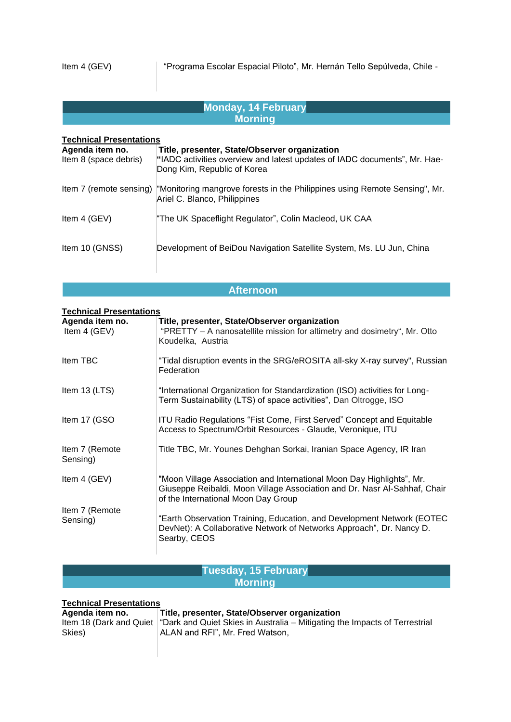| <b>Monday, 14 February</b>               |                                                                                                                                                           |  |  |
|------------------------------------------|-----------------------------------------------------------------------------------------------------------------------------------------------------------|--|--|
| <b>Morning</b>                           |                                                                                                                                                           |  |  |
| <b>Technical Presentations</b>           |                                                                                                                                                           |  |  |
| Agenda item no.<br>Item 8 (space debris) | Title, presenter, State/Observer organization<br>"IADC activities overview and latest updates of IADC documents", Mr. Hae-<br>Dong Kim, Republic of Korea |  |  |
| Item 7 (remote sensing)                  | "Monitoring mangrove forests in the Philippines using Remote Sensing", Mr.<br>Ariel C. Blanco, Philippines                                                |  |  |
| Item 4 (GEV)                             | "The UK Spaceflight Regulator", Colin Macleod, UK CAA                                                                                                     |  |  |
| Item 10 (GNSS)                           | Development of BeiDou Navigation Satellite System, Ms. LU Jun, China                                                                                      |  |  |

## **Afternoon**

| <b>Technical Presentations</b>  |                                                                                                                                                                                           |  |  |
|---------------------------------|-------------------------------------------------------------------------------------------------------------------------------------------------------------------------------------------|--|--|
| Agenda item no.<br>Item 4 (GEV) | Title, presenter, State/Observer organization<br>"PRETTY - A nanosatellite mission for altimetry and dosimetry", Mr. Otto<br>Koudelka, Austria                                            |  |  |
| Item TBC                        | "Tidal disruption events in the SRG/eROSITA all-sky X-ray survey", Russian<br>Federation                                                                                                  |  |  |
| Item 13 (LTS)                   | "International Organization for Standardization (ISO) activities for Long-<br>Term Sustainability (LTS) of space activities", Dan Oltrogge, ISO                                           |  |  |
| Item 17 (GSO                    | <b>ITU Radio Regulations "Fist Come, First Served" Concept and Equitable</b><br>Access to Spectrum/Orbit Resources - Glaude, Veronique, ITU                                               |  |  |
| Item 7 (Remote<br>Sensing)      | Title TBC, Mr. Younes Dehghan Sorkai, Iranian Space Agency, IR Iran                                                                                                                       |  |  |
| Item 4 (GEV)                    | "Moon Village Association and International Moon Day Highlights", Mr.<br>Giuseppe Reibaldi, Moon Village Association and Dr. Nasr Al-Sahhaf, Chair<br>of the International Moon Day Group |  |  |
| Item 7 (Remote<br>Sensing)      | "Earth Observation Training, Education, and Development Network (EOTEC<br>DevNet): A Collaborative Network of Networks Approach", Dr. Nancy D.<br>Searby, CEOS                            |  |  |

#### **Tuesday, 15 February Morning**

#### **Technical Presentations**

#### **Agenda item no. Title, presenter, State/Observer organization**

| Ayunuu iluii ilu. | TRO, DICSCHICH, Oldic/ODSCHVCL ORGHILLOUDH                                                           |
|-------------------|------------------------------------------------------------------------------------------------------|
|                   | Item 18 (Dark and Quiet   "Dark and Quiet Skies in Australia – Mitigating the Impacts of Terrestrial |
| Skies)            | ∣ ALAN and RFI". Mr. Fred Watson.                                                                    |
|                   |                                                                                                      |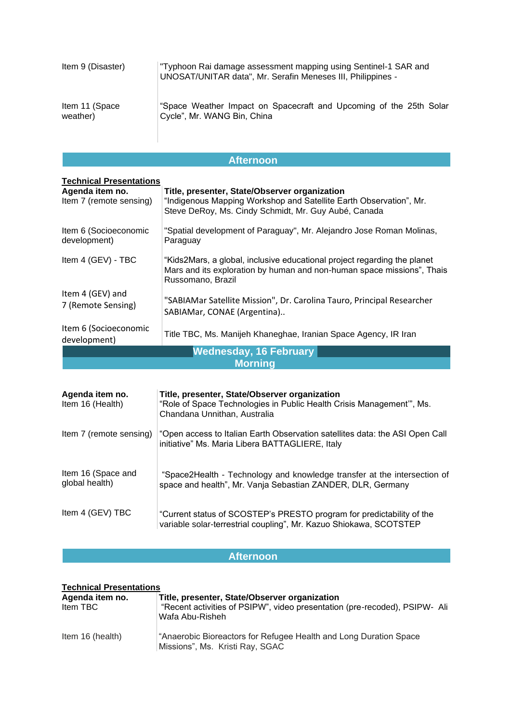| Item 9 (Disaster) | "Typhoon Rai damage assessment mapping using Sentinel-1 SAR and<br>UNOSAT/UNITAR data", Mr. Serafin Meneses III, Philippines - |
|-------------------|--------------------------------------------------------------------------------------------------------------------------------|
| Item 11 (Space    | "Space Weather Impact on Spacecraft and Upcoming of the 25th Solar                                                             |
| weather)          | Cycle", Mr. WANG Bin, China                                                                                                    |

## **Afternoon**

| <b>Technical Presentations</b>             |                                                                                                                                                                             |  |
|--------------------------------------------|-----------------------------------------------------------------------------------------------------------------------------------------------------------------------------|--|
| Agenda item no.<br>Item 7 (remote sensing) | Title, presenter, State/Observer organization<br>"Indigenous Mapping Workshop and Satellite Earth Observation", Mr.<br>Steve DeRoy, Ms. Cindy Schmidt, Mr. Guy Aubé, Canada |  |
| Item 6 (Socioeconomic<br>development)      | "Spatial development of Paraguay", Mr. Alejandro Jose Roman Molinas,<br>Paraguay                                                                                            |  |
| Item 4 (GEV) - TBC                         | "Kids2Mars, a global, inclusive educational project regarding the planet<br>Mars and its exploration by human and non-human space missions", Thais<br>Russomano, Brazil     |  |
| Item 4 (GEV) and<br>7 (Remote Sensing)     | "SABIAMar Satellite Mission", Dr. Carolina Tauro, Principal Researcher<br>SABIAMar, CONAE (Argentina)                                                                       |  |
| Item 6 (Socioeconomic<br>development)      | Title TBC, Ms. Manijeh Khaneghae, Iranian Space Agency, IR Iran                                                                                                             |  |
| <b>Wednesday, 16 February</b>              |                                                                                                                                                                             |  |
| <b>Morning</b>                             |                                                                                                                                                                             |  |

| Agenda item no.<br>Item 16 (Health)  | Title, presenter, State/Observer organization<br>"Role of Space Technologies in Public Health Crisis Management", Ms.<br>Chandana Unnithan, Australia |
|--------------------------------------|-------------------------------------------------------------------------------------------------------------------------------------------------------|
| Item 7 (remote sensing)              | "Open access to Italian Earth Observation satellites data: the ASI Open Call<br>initiative" Ms. Maria Libera BATTAGLIERE, Italy                       |
| Item 16 (Space and<br>global health) | "Space2Health - Technology and knowledge transfer at the intersection of<br>space and health", Mr. Vanja Sebastian ZANDER, DLR, Germany               |
| Item 4 (GEV) TBC                     | "Current status of SCOSTEP's PRESTO program for predictability of the<br>variable solar-terrestrial coupling", Mr. Kazuo Shiokawa, SCOTSTEP           |

# **Afternoon**

| <b>Technical Presentations</b> |                                                                                                                                                |
|--------------------------------|------------------------------------------------------------------------------------------------------------------------------------------------|
| Agenda item no.<br>Item TBC    | Title, presenter, State/Observer organization<br>"Recent activities of PSIPW", video presentation (pre-recoded), PSIPW- Ali<br>Wafa Abu-Risheh |
| Item 16 (health)               | "Anaerobic Bioreactors for Refugee Health and Long Duration Space<br>Missions", Ms. Kristi Ray, SGAC                                           |